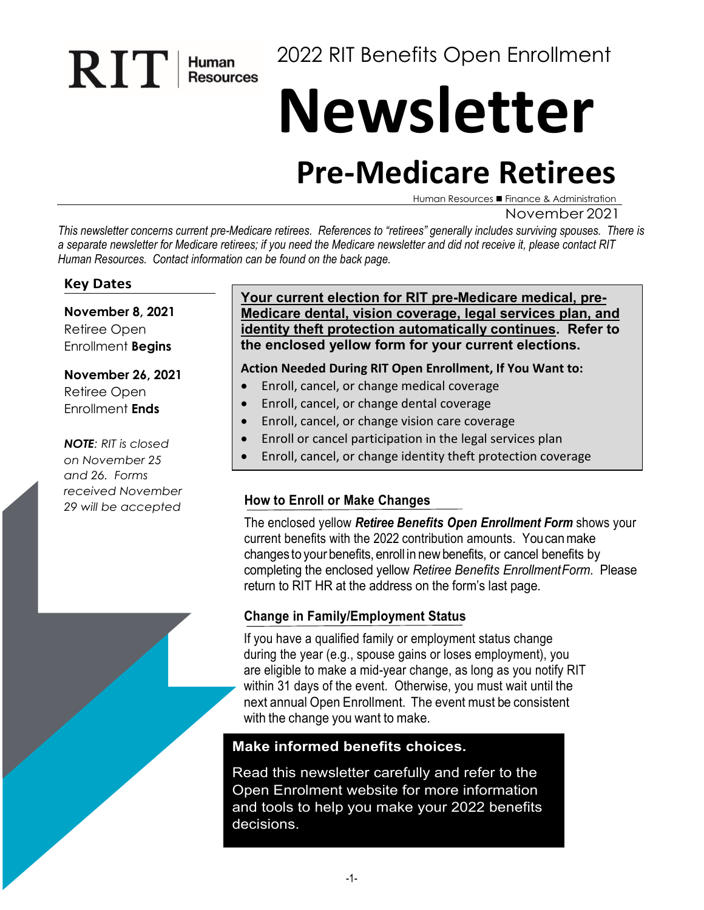2022 RIT Benefits Open Enrollment

# **Newsletter**

# **Pre-Medicare Retirees**

Human Resources ■ Finance & Administration

November 2021

*This newsletter concerns current pre-Medicare retirees. References to "retirees" generally includes surviving spouses. There is a separate newsletter for Medicare retirees; if you need the Medicare newsletter and did not receive it, please contact RIT Human Resources. Contact information can be found on the back page.* 

#### **Key Dates**

**November 8, 2021** Retiree Open Enrollment **Begins**

**RIT** Human

#### **November 26, 2021** Retiree Open

Enrollment **Ends**

*NOTE: RIT is closed on November 25 and 26. Forms received November* 

#### **Your current election for RIT pre-Medicare medical, pre-Medicare dental, vision coverage, legal services plan, and identity theft protection automatically continues. Refer to the enclosed yellow form for your current elections.**

#### **Action Needed During RIT Open Enrollment, If You Want to:**

- Enroll, cancel, or change medical coverage
- Enroll, cancel, or change dental coverage
- Enroll, cancel, or change vision care coverage
- Enroll or cancel participation in the legal services plan
- Enroll, cancel, or change identity theft protection coverage

# *29 will be accepted* **How to Enroll or Make Changes**

The enclosed yellow *Retiree Benefits Open Enrollment Form* shows your current benefits with the 2022 contribution amounts. Youcanmake changes to your benefits, enroll in newbenefits, or cancel benefits by completing the enclosed yellow *Retiree Benefits EnrollmentForm*. Please return to RIT HR at the address on the form's last page.

#### **Change in Family/Employment Status**

If you have a qualified family or employment status change during the year (e.g., spouse gains or loses employment), you are eligible to make a mid-year change, as long as you notify RIT within 31 days of the event. Otherwise, you must wait until the next annual Open Enrollment. The event must be consistent with the change you want to make.

#### **Make informed benefits choices.**

Read this newsletter carefully and refer to the Open Enrolment website for more information and tools to help you make your 2022 benefits decisions.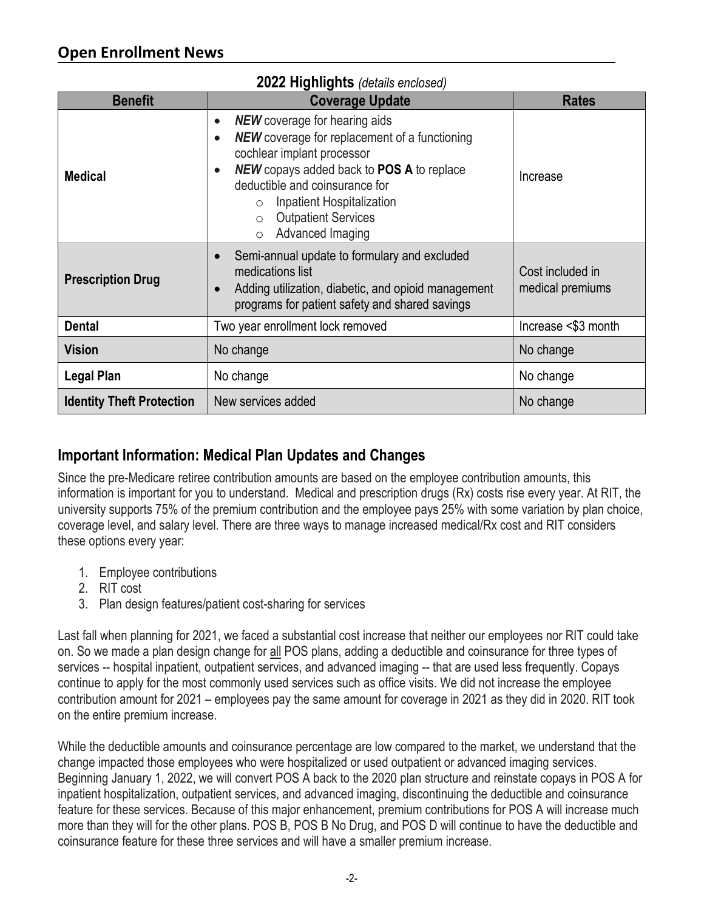| <b>ZUZZ HIGHIIGHTS</b> (details enclosed) |                                                                                                                                                                                                                                                                                                                                                                                |                                      |  |  |
|-------------------------------------------|--------------------------------------------------------------------------------------------------------------------------------------------------------------------------------------------------------------------------------------------------------------------------------------------------------------------------------------------------------------------------------|--------------------------------------|--|--|
| <b>Benefit</b>                            | <b>Coverage Update</b>                                                                                                                                                                                                                                                                                                                                                         | <b>Rates</b>                         |  |  |
| <b>Medical</b>                            | <b>NEW</b> coverage for hearing aids<br>$\bullet$<br><b>NEW</b> coverage for replacement of a functioning<br>$\bullet$<br>cochlear implant processor<br><b>NEW</b> copays added back to <b>POS A</b> to replace<br>$\bullet$<br>deductible and coinsurance for<br>Inpatient Hospitalization<br>$\circ$<br><b>Outpatient Services</b><br>$\circ$<br>Advanced Imaging<br>$\circ$ | Increase                             |  |  |
| <b>Prescription Drug</b>                  | Semi-annual update to formulary and excluded<br>$\bullet$<br>medications list<br>Adding utilization, diabetic, and opioid management<br>$\bullet$<br>programs for patient safety and shared savings                                                                                                                                                                            | Cost included in<br>medical premiums |  |  |
| <b>Dental</b>                             | Two year enrollment lock removed                                                                                                                                                                                                                                                                                                                                               | Increase <\$3 month                  |  |  |
| <b>Vision</b>                             | No change                                                                                                                                                                                                                                                                                                                                                                      | No change                            |  |  |
| <b>Legal Plan</b>                         | No change                                                                                                                                                                                                                                                                                                                                                                      | No change                            |  |  |
| <b>Identity Theft Protection</b>          | New services added                                                                                                                                                                                                                                                                                                                                                             | No change                            |  |  |

### **2022 Highlights** *(details enclosed)*

# **Important Information: Medical Plan Updates and Changes**

Since the pre-Medicare retiree contribution amounts are based on the employee contribution amounts, this information is important for you to understand. Medical and prescription drugs (Rx) costs rise every year. At RIT, the university supports 75% of the premium contribution and the employee pays 25% with some variation by plan choice, coverage level, and salary level. There are three ways to manage increased medical/Rx cost and RIT considers these options every year:

- 1. Employee contributions
- 2. RIT cost
- 3. Plan design features/patient cost-sharing for services

Last fall when planning for 2021, we faced a substantial cost increase that neither our employees nor RIT could take on. So we made a plan design change for all POS plans, adding a deductible and coinsurance for three types of services -- hospital inpatient, outpatient services, and advanced imaging -- that are used less frequently. Copays continue to apply for the most commonly used services such as office visits. We did not increase the employee contribution amount for 2021 – employees pay the same amount for coverage in 2021 as they did in 2020. RIT took on the entire premium increase.

While the deductible amounts and coinsurance percentage are low compared to the market, we understand that the change impacted those employees who were hospitalized or used outpatient or advanced imaging services. Beginning January 1, 2022, we will convert POS A back to the 2020 plan structure and reinstate copays in POS A for inpatient hospitalization, outpatient services, and advanced imaging, discontinuing the deductible and coinsurance feature for these services. Because of this major enhancement, premium contributions for POS A will increase much more than they will for the other plans. POS B, POS B No Drug, and POS D will continue to have the deductible and coinsurance feature for these three services and will have a smaller premium increase.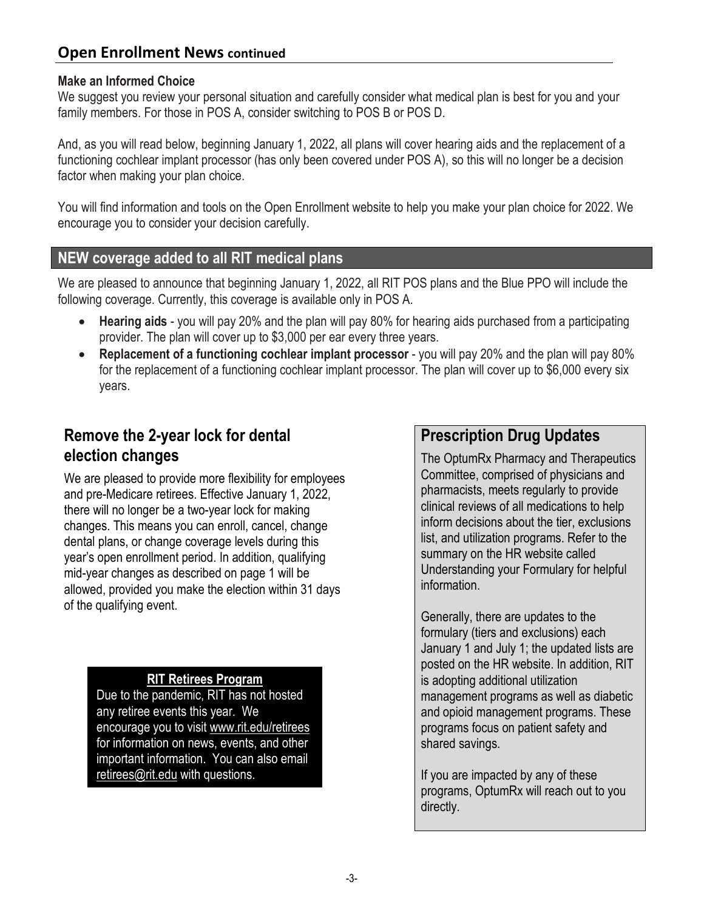# **Open Enrollment News continued**

#### **Make an Informed Choice**

We suggest you review your personal situation and carefully consider what medical plan is best for you and your family members. For those in POS A, consider switching to POS B or POS D.

And, as you will read below, beginning January 1, 2022, all plans will cover hearing aids and the replacement of a functioning cochlear implant processor (has only been covered under POS A), so this will no longer be a decision factor when making your plan choice.

You will find information and tools on the Open Enrollment website to help you make your plan choice for 2022. We encourage you to consider your decision carefully.

# **NEW coverage added to all RIT medical plans**

We are pleased to announce that beginning January 1, 2022, all RIT POS plans and the Blue PPO will include the following coverage. Currently, this coverage is available only in POS A.

- **Hearing aids** you will pay 20% and the plan will pay 80% for hearing aids purchased from a participating provider. The plan will cover up to \$3,000 per ear every three years.
- **Replacement of a functioning cochlear implant processor** you will pay 20% and the plan will pay 80% for the replacement of a functioning cochlear implant processor. The plan will cover up to \$6,000 every six years.

# **Remove the 2-year lock for dental election changes**

We are pleased to provide more flexibility for employees and pre-Medicare retirees. Effective January 1, 2022, there will no longer be a two-year lock for making changes. This means you can enroll, cancel, change dental plans, or change coverage levels during this year's open enrollment period. In addition, qualifying mid-year changes as described on page 1 will be allowed, provided you make the election within 31 days of the qualifying event.

#### **RIT Retirees Program**

Due to the pandemic, RIT has not hosted any retiree events this year. We encourage you to visit [www.rit.edu/retirees](http://www.rit.edu/retirees) for information on news, events, and other important information. You can also email [retirees@rit.edu](mailto:retirees@rit.edu) with questions.

# **Prescription Drug Updates**

The OptumRx Pharmacy and Therapeutics Committee, comprised of physicians and pharmacists, meets regularly to provide clinical reviews of all medications to help inform decisions about the tier, exclusions list, and utilization programs. Refer to the summary on the HR website called Understanding your Formulary for helpful information.

Generally, there are updates to the formulary (tiers and exclusions) each January 1 and July 1; the updated lists are posted on the HR website. In addition, RIT is adopting additional utilization management programs as well as diabetic and opioid management programs. These programs focus on patient safety and shared savings.

If you are impacted by any of these programs, OptumRx will reach out to you directly.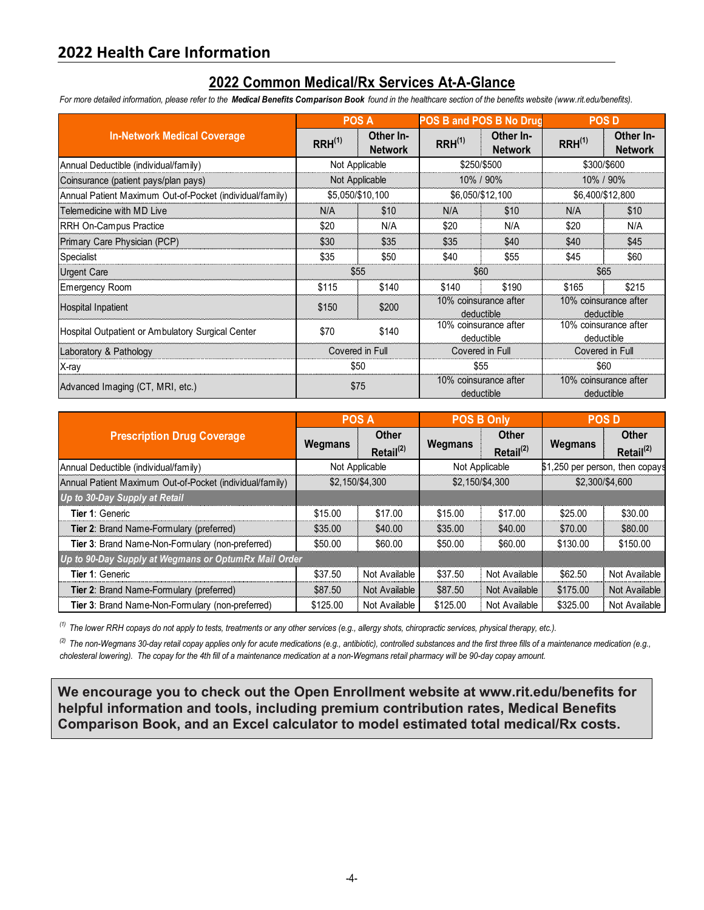### **2022 Common Medical/Rx Services At-A-Glance**

*For more detailed information, please refer to the Medical Benefits Comparison Book found in the healthcare section of the benefits website (www.rit.edu/benefits).*

|                                                          | <b>POS A</b>    |                             | POS B and POS B No Drug             |                                     | <b>POS D</b>                        |                                     |  |
|----------------------------------------------------------|-----------------|-----------------------------|-------------------------------------|-------------------------------------|-------------------------------------|-------------------------------------|--|
| <b>In-Network Medical Coverage</b>                       | $RRH^{(1)}$     | Other In-<br><b>Network</b> | $RRH^{(1)}$                         | Other In-<br><b>Network</b>         | $RRH^{(1)}$                         | Other In-<br><b>Network</b>         |  |
| Annual Deductible (individual/family)                    |                 | Not Applicable              | \$250/\$500                         |                                     | \$300/\$600                         |                                     |  |
| Coinsurance (patient pays/plan pays)                     |                 | Not Applicable              |                                     | 10% / 90%                           |                                     | 10% / 90%                           |  |
| Annual Patient Maximum Out-of-Pocket (individual/family) |                 | \$5,050/\$10,100            |                                     | \$6,050/\$12,100                    | \$6,400/\$12,800                    |                                     |  |
| Telemedicine with MD Live                                | N/A             | \$10                        | N/A                                 | \$10                                | N/A                                 | \$10                                |  |
| <b>RRH On-Campus Practice</b>                            | \$20            | N/A                         | \$20                                | N/A                                 | \$20                                | N/A                                 |  |
| Primary Care Physician (PCP)                             | \$30            | \$35                        | \$35                                | \$40                                | \$40                                | \$45                                |  |
| Specialist                                               | \$35            | \$50                        | \$40                                | \$55                                | \$45                                | \$60                                |  |
| <b>Urgent Care</b>                                       | \$55            |                             | \$60                                |                                     | \$65                                |                                     |  |
| <b>Emergency Room</b>                                    | \$115           | \$140                       | \$140                               | \$190                               | \$165                               | \$215                               |  |
| <b>Hospital Inpatient</b>                                | \$150           | \$200                       | 10% coinsurance after<br>deductible |                                     | 10% coinsurance after<br>deductible |                                     |  |
| Hospital Outpatient or Ambulatory Surgical Center        | \$70            | \$140                       |                                     | 10% coinsurance after<br>deductible |                                     | 10% coinsurance after<br>deductible |  |
| Laboratory & Pathology                                   | Covered in Full |                             | Covered in Full                     |                                     | Covered in Full                     |                                     |  |
| X-ray                                                    |                 | \$50                        | \$55                                |                                     | \$60                                |                                     |  |
| Advanced Imaging (CT, MRI, etc.)                         | \$75            |                             | 10% coinsurance after<br>deductible |                                     | 10% coinsurance after<br>deductible |                                     |  |

|                                                          | <b>POS A</b>    |                       | <b>POS B Only</b> |                       | <b>POSD</b>                     |                       |
|----------------------------------------------------------|-----------------|-----------------------|-------------------|-----------------------|---------------------------------|-----------------------|
| <b>Prescription Drug Coverage</b>                        | Wegmans         | <b>Other</b>          | Wegmans           | <b>Other</b>          | Wegmans                         | Other                 |
|                                                          |                 | Retail <sup>(2)</sup> |                   | Retail <sup>(2)</sup> |                                 | Retail <sup>(2)</sup> |
| Annual Deductible (individual/family)                    |                 | Not Applicable        | Not Applicable    |                       | \$1,250 per person, then copays |                       |
| Annual Patient Maximum Out-of-Pocket (individual/family) | \$2,150/\$4,300 |                       | \$2,150/\$4,300   |                       | \$2,300/\$4,600                 |                       |
| Up to 30-Day Supply at Retail                            |                 |                       |                   |                       |                                 |                       |
| Tier 1: Generic                                          | \$15.00         | \$17.00               | \$15.00           | \$17.00               | \$25.00                         | \$30.00               |
| Tier 2: Brand Name-Formulary (preferred)                 | \$35.00         | \$40.00               | \$35.00           | \$40.00               | \$70.00                         | \$80.00               |
| Tier 3: Brand Name-Non-Formulary (non-preferred)         | \$50.00         | \$60.00               | \$50.00           | \$60.00               | \$130.00                        | \$150.00              |
| Up to 90-Day Supply at Wegmans or OptumRx Mail Order     |                 |                       |                   |                       |                                 |                       |
| Tier 1: Generic                                          | \$37.50         | Not Available         | \$37.50           | Not Available         | \$62.50                         | Not Available         |
| Tier 2: Brand Name-Formulary (preferred)                 | \$87.50         | Not Available         | \$87.50           | Not Available         | \$175.00                        | Not Available         |
| Tier 3: Brand Name-Non-Formulary (non-preferred)         | \$125.00        | Not Available         | \$125.00          | Not Available         | \$325.00                        | Not Available         |

*(1) The lower RRH copays do not apply to tests, treatments or any other services (e.g., allergy shots, chiropractic services, physical therapy, etc.).*

*(2) The non-Wegmans 30-day retail copay applies only for acute medications (e.g., antibiotic), controlled substances and the first three fills of a maintenance medication (e.g., cholesteral lowering). The copay for the 4th fill of a maintenance medication at a non-Wegmans retail pharmacy will be 90-day copay amount.*

**We encourage you to check out the Open Enrollment website at www.rit.edu/benefits for helpful information and tools, including premium contribution rates, Medical Benefits Comparison Book, and an Excel calculator to model estimated total medical/Rx costs.**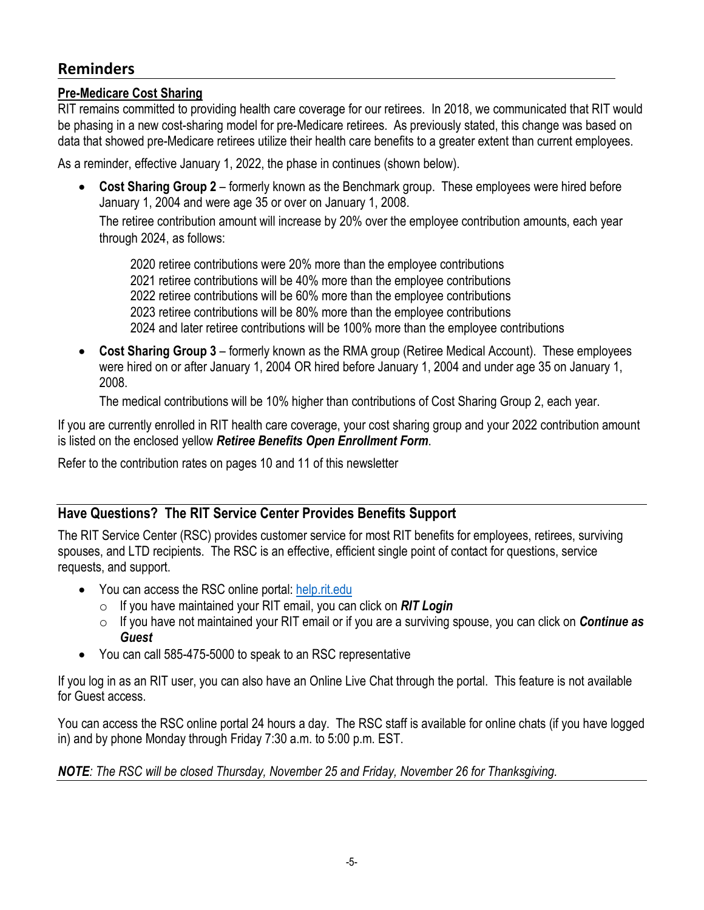# **Reminders**

#### **Pre-Medicare Cost Sharing**

RIT remains committed to providing health care coverage for our retirees. In 2018, we communicated that RIT would be phasing in a new cost-sharing model for pre-Medicare retirees. As previously stated, this change was based on data that showed pre-Medicare retirees utilize their health care benefits to a greater extent than current employees.

As a reminder, effective January 1, 2022, the phase in continues (shown below).

• **Cost Sharing Group 2** – formerly known as the Benchmark group. These employees were hired before January 1, 2004 and were age 35 or over on January 1, 2008.

The retiree contribution amount will increase by 20% over the employee contribution amounts, each year through 2024, as follows:

2020 retiree contributions were 20% more than the employee contributions 2021 retiree contributions will be 40% more than the employee contributions 2022 retiree contributions will be 60% more than the employee contributions 2023 retiree contributions will be 80% more than the employee contributions 2024 and later retiree contributions will be 100% more than the employee contributions

• **Cost Sharing Group 3** – formerly known as the RMA group (Retiree Medical Account). These employees were hired on or after January 1, 2004 OR hired before January 1, 2004 and under age 35 on January 1, 2008.

The medical contributions will be 10% higher than contributions of Cost Sharing Group 2, each year.

If you are currently enrolled in RIT health care coverage, your cost sharing group and your 2022 contribution amount is listed on the enclosed yellow *Retiree Benefits Open Enrollment Form*.

Refer to the contribution rates on pages 10 and 11 of this newsletter

#### **Have Questions? The RIT Service Center Provides Benefits Support**

The RIT Service Center (RSC) provides customer service for most RIT benefits for employees, retirees, surviving spouses, and LTD recipients. The RSC is an effective, efficient single point of contact for questions, service requests, and support.

- You can access the RSC online portal: [help.rit.edu](https://help.rit.edu/sp)
	- o If you have maintained your RIT email, you can click on *RIT Login*
	- o If you have not maintained your RIT email or if you are a surviving spouse, you can click on *Continue as Guest*
- You can call 585-475-5000 to speak to an RSC representative

If you log in as an RIT user, you can also have an Online Live Chat through the portal. This feature is not available for Guest access.

You can access the RSC online portal 24 hours a day. The RSC staff is available for online chats (if you have logged in) and by phone Monday through Friday 7:30 a.m. to 5:00 p.m. EST.

#### *NOTE: The RSC will be closed Thursday, November 25 and Friday, November 26 for Thanksgiving.*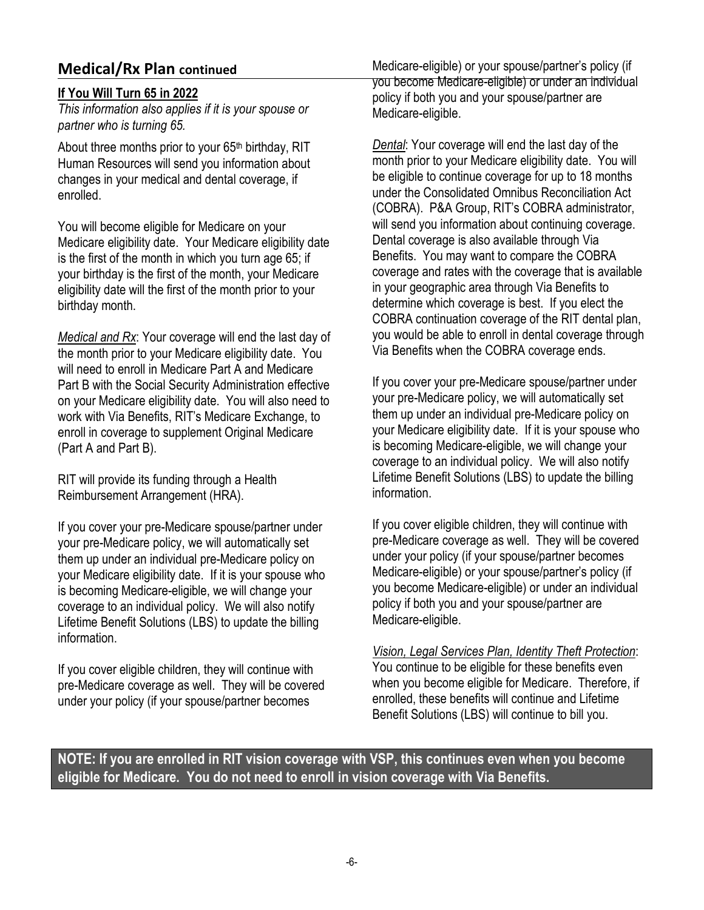# **Medical/Rx Plan continued**

#### **If You Will Turn 65 in 2022**

*This information also applies if it is your spouse or partner who is turning 65.*

About three months prior to your  $65<sup>th</sup>$  birthday, RIT Human Resources will send you information about changes in your medical and dental coverage, if enrolled.

You will become eligible for Medicare on your Medicare eligibility date. Your Medicare eligibility date is the first of the month in which you turn age 65; if your birthday is the first of the month, your Medicare eligibility date will the first of the month prior to your birthday month.

*Medical and Rx*: Your coverage will end the last day of the month prior to your Medicare eligibility date. You will need to enroll in Medicare Part A and Medicare Part B with the Social Security Administration effective on your Medicare eligibility date. You will also need to work with Via Benefits, RIT's Medicare Exchange, to enroll in coverage to supplement Original Medicare (Part A and Part B).

RIT will provide its funding through a Health Reimbursement Arrangement (HRA).

If you cover your pre-Medicare spouse/partner under your pre-Medicare policy, we will automatically set them up under an individual pre-Medicare policy on your Medicare eligibility date. If it is your spouse who is becoming Medicare-eligible, we will change your coverage to an individual policy. We will also notify Lifetime Benefit Solutions (LBS) to update the billing information.

If you cover eligible children, they will continue with pre-Medicare coverage as well. They will be covered under your policy (if your spouse/partner becomes

Medicare-eligible) or your spouse/partner's policy (if you become Medicare-eligible) or under an individual policy if both you and your spouse/partner are Medicare-eligible.

*Dental*: Your coverage will end the last day of the month prior to your Medicare eligibility date. You will be eligible to continue coverage for up to 18 months under the Consolidated Omnibus Reconciliation Act (COBRA). P&A Group, RIT's COBRA administrator, will send you information about continuing coverage. Dental coverage is also available through Via Benefits. You may want to compare the COBRA coverage and rates with the coverage that is available in your geographic area through Via Benefits to determine which coverage is best. If you elect the COBRA continuation coverage of the RIT dental plan, you would be able to enroll in dental coverage through Via Benefits when the COBRA coverage ends.

If you cover your pre-Medicare spouse/partner under your pre-Medicare policy, we will automatically set them up under an individual pre-Medicare policy on your Medicare eligibility date. If it is your spouse who is becoming Medicare-eligible, we will change your coverage to an individual policy. We will also notify Lifetime Benefit Solutions (LBS) to update the billing information.

If you cover eligible children, they will continue with pre-Medicare coverage as well. They will be covered under your policy (if your spouse/partner becomes Medicare-eligible) or your spouse/partner's policy (if you become Medicare-eligible) or under an individual policy if both you and your spouse/partner are Medicare-eligible.

*Vision, Legal Services Plan, Identity Theft Protection*: You continue to be eligible for these benefits even when you become eligible for Medicare. Therefore, if enrolled, these benefits will continue and Lifetime Benefit Solutions (LBS) will continue to bill you.

**NOTE: If you are enrolled in RIT vision coverage with VSP, this continues even when you become eligible for Medicare. You do not need to enroll in vision coverage with Via Benefits.**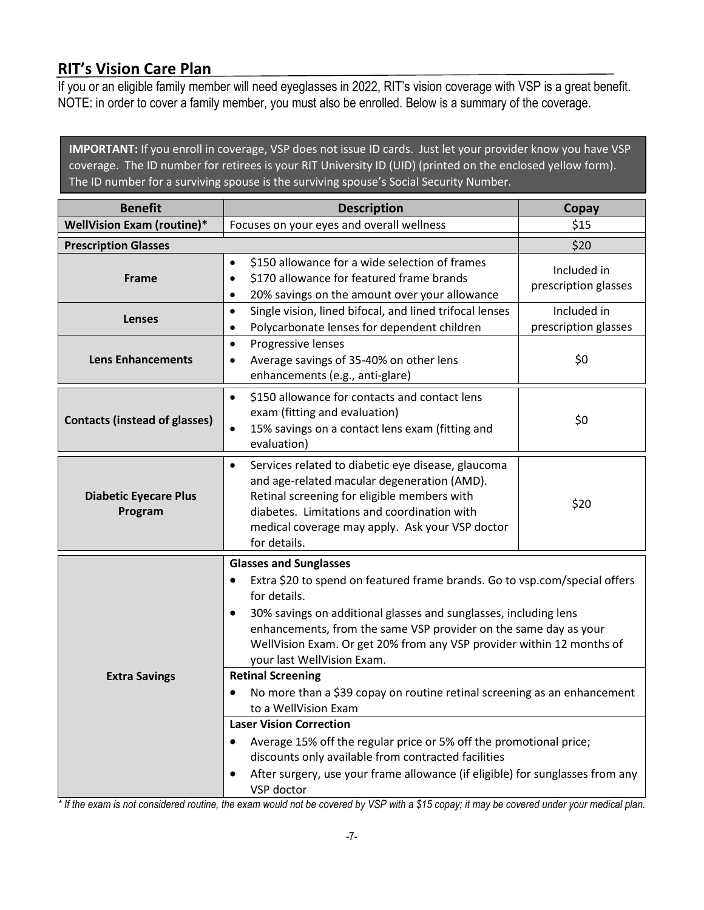# **RIT's Vision Care Plan**

If you or an eligible family member will need eyeglasses in 2022, RIT's vision coverage with VSP is a great benefit. NOTE: in order to cover a family member, you must also be enrolled. Below is a summary of the coverage.

**IMPORTANT:** If you enroll in coverage, VSP does not issue ID cards. Just let your provider know you have VSP coverage. The ID number for retirees is your RIT University ID (UID) (printed on the enclosed yellow form). The ID number for a surviving spouse is the surviving spouse's Social Security Number.

| <b>Benefit</b>                          | <b>Description</b>                                                                                                                                                                                                                                                                                                                                                                                                                                                                                                           | Copay                               |
|-----------------------------------------|------------------------------------------------------------------------------------------------------------------------------------------------------------------------------------------------------------------------------------------------------------------------------------------------------------------------------------------------------------------------------------------------------------------------------------------------------------------------------------------------------------------------------|-------------------------------------|
| WellVision Exam (routine)*              | Focuses on your eyes and overall wellness                                                                                                                                                                                                                                                                                                                                                                                                                                                                                    | \$15                                |
| <b>Prescription Glasses</b>             |                                                                                                                                                                                                                                                                                                                                                                                                                                                                                                                              | \$20                                |
| <b>Frame</b>                            | \$150 allowance for a wide selection of frames<br>\$170 allowance for featured frame brands<br>$\bullet$<br>20% savings on the amount over your allowance<br>٠                                                                                                                                                                                                                                                                                                                                                               | Included in<br>prescription glasses |
| Lenses                                  | Single vision, lined bifocal, and lined trifocal lenses<br>$\bullet$<br>Polycarbonate lenses for dependent children<br>٠                                                                                                                                                                                                                                                                                                                                                                                                     | Included in<br>prescription glasses |
| <b>Lens Enhancements</b>                | Progressive lenses<br>$\bullet$<br>Average savings of 35-40% on other lens<br>٠<br>enhancements (e.g., anti-glare)                                                                                                                                                                                                                                                                                                                                                                                                           | \$0                                 |
| <b>Contacts (instead of glasses)</b>    | \$150 allowance for contacts and contact lens<br>$\bullet$<br>exam (fitting and evaluation)<br>15% savings on a contact lens exam (fitting and<br>$\bullet$<br>evaluation)                                                                                                                                                                                                                                                                                                                                                   | \$0                                 |
| <b>Diabetic Eyecare Plus</b><br>Program | Services related to diabetic eye disease, glaucoma<br>$\bullet$<br>and age-related macular degeneration (AMD).<br>Retinal screening for eligible members with<br>diabetes. Limitations and coordination with<br>medical coverage may apply. Ask your VSP doctor<br>for details.                                                                                                                                                                                                                                              | \$20                                |
| <b>Extra Savings</b>                    | <b>Glasses and Sunglasses</b><br>Extra \$20 to spend on featured frame brands. Go to vsp.com/special offers<br>$\bullet$<br>for details.<br>30% savings on additional glasses and sunglasses, including lens<br>٠<br>enhancements, from the same VSP provider on the same day as your<br>WellVision Exam. Or get 20% from any VSP provider within 12 months of<br>your last WellVision Exam.<br><b>Retinal Screening</b><br>No more than a \$39 copay on routine retinal screening as an enhancement<br>to a WellVision Exam |                                     |
|                                         | <b>Laser Vision Correction</b><br>Average 15% off the regular price or 5% off the promotional price;<br>discounts only available from contracted facilities<br>After surgery, use your frame allowance (if eligible) for sunglasses from any<br>VSP doctor                                                                                                                                                                                                                                                                   |                                     |

*\* If the exam is not considered routine, the exam would not be covered by VSP with a \$15 copay; it may be covered under your medical plan.*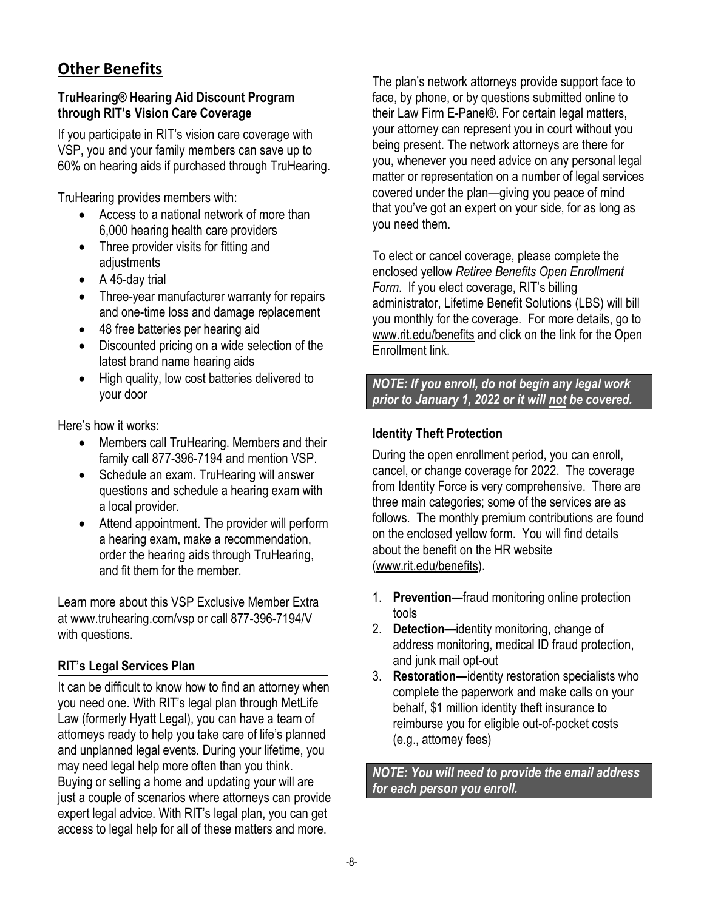# **Other Benefits**

#### **TruHearing® Hearing Aid Discount Program through RIT's Vision Care Coverage**

If you participate in RIT's vision care coverage with VSP, you and your family members can save up to 60% on hearing aids if purchased through TruHearing.

TruHearing provides members with:

- Access to a national network of more than 6,000 hearing health care providers
- Three provider visits for fitting and adjustments
- A 45-day trial
- Three-year manufacturer warranty for repairs and one-time loss and damage replacement
- 48 free batteries per hearing aid
- Discounted pricing on a wide selection of the latest brand name hearing aids
- High quality, low cost batteries delivered to your door

Here's how it works:

- Members call TruHearing. Members and their family call 877-396-7194 and mention VSP.
- Schedule an exam. TruHearing will answer questions and schedule a hearing exam with a local provider.
- Attend appointment. The provider will perform a hearing exam, make a recommendation, order the hearing aids through TruHearing, and fit them for the member.

Learn more about this VSP Exclusive Member Extra at [www.truhearing.com/vsp o](http://www.truhearing.com/vsp)r call 877-396-7194/V with questions.

#### **RIT's Legal Services Plan**

It can be difficult to know how to find an attorney when you need one. With RIT's legal plan through MetLife Law (formerly Hyatt Legal), you can have a team of attorneys ready to help you take care of life's planned and unplanned legal events. During your lifetime, you may need legal help more often than you think. Buying or selling a home and updating your will are just a couple of scenarios where attorneys can provide expert legal advice. With RIT's legal plan, you can get access to legal help for all of these matters and more.

The plan's network attorneys provide support face to face, by phone, or by questions submitted online to their Law Firm E-Panel®. For certain legal matters, your attorney can represent you in court without you being present. The network attorneys are there for you, whenever you need advice on any personal legal matter or representation on a number of legal services covered under the plan—giving you peace of mind that you've got an expert on your side, for as long as you need them.

To elect or cancel coverage, please complete the enclosed yellow *Retiree Benefits Open Enrollment Form*. If you elect coverage, RIT's billing administrator, Lifetime Benefit Solutions (LBS) will bill you monthly for the coverage. For more details, go to [www.rit.edu/benefits](http://www.rit.edu/benefits) and click on the link for the Open Enrollment link.

#### *NOTE: If you enroll, do not begin any legal work prior to January 1, 2022 or it will not be covered.*

#### **Identity Theft Protection**

During the open enrollment period, you can enroll, cancel, or change coverage for 2022. The coverage from Identity Force is very comprehensive. There are three main categories; some of the services are as follows. The monthly premium contributions are found on the enclosed yellow form. You will find details about the benefit on the HR website [\(www.rit.edu/benefits\)](http://www.rit.edu/benefits).

- 1. **Prevention—**fraud monitoring online protection tools
- 2. **Detection—**identity monitoring, change of address monitoring, medical ID fraud protection, and junk mail opt-out
- 3. **Restoration—**identity restoration specialists who complete the paperwork and make calls on your behalf, \$1 million identity theft insurance to reimburse you for eligible out-of-pocket costs (e.g., attorney fees)

*NOTE: You will need to provide the email address for each person you enroll.*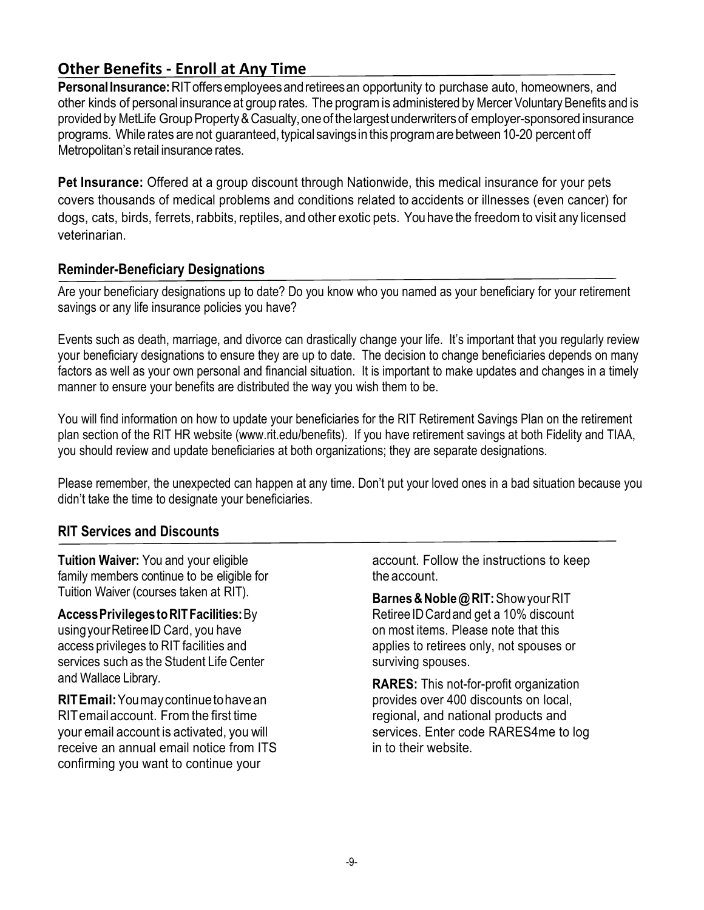# **Other Benefits - Enroll at Any Time**

**PersonalInsurance:**RIToffersemployeesandretireesan opportunity to purchase auto, homeowners, and other kinds of personal insurance at group rates. The programis administered by Mercer Voluntary Benefits and is provided by MetLife Group Property & Casualty, one of the largest underwriters of employer-sponsored insurance programs. While rates are not guaranteed, typical savings in this program are between 10-20 percent off Metropolitan's retail insurance rates.

**Pet Insurance:** Offered at a group discount through Nationwide, this medical insurance for your pets covers thousands of medical problems and conditions related to accidents or illnesses (even cancer) for dogs, cats, birds, ferrets, rabbits, reptiles, and other exotic pets. You have the freedomto visit any licensed veterinarian.

#### **Reminder-Beneficiary Designations**

Are your beneficiary designations up to date? Do you know who you named as your beneficiary for your retirement savings or any life insurance policies you have?

Events such as death, marriage, and divorce can drastically change your life. It's important that you regularly review your beneficiary designations to ensure they are up to date. The decision to change beneficiaries depends on many factors as well as your own personal and financial situation. It is important to make updates and changes in a timely manner to ensure your benefits are distributed the way you wish them to be.

You will find information on how to update your beneficiaries for the RIT Retirement Savings Plan on the retirement plan section of the RIT HR website (www.rit.edu/benefits). If you have retirement savings at both Fidelity and TIAA, you should review and update beneficiaries at both organizations; they are separate designations.

Please remember, the unexpected can happen at any time. Don't put your loved ones in a bad situation because you didn't take the time to designate your beneficiaries.

#### **RIT Services and Discounts**

**Tuition Waiver:** You and your eligible family members continue to be eligible for Tuition Waiver (courses taken at RIT).

**AccessPrivilegestoRITFacilities:**By using your Retiree ID Card, you have access privileges to RIT facilities and services such as the Student Life Center and Wallace Library.

**RITEmail:**Youmaycontinuetohavean RITemailaccount. Fromthe first time your email account is activated, you will receive an annual email notice from ITS confirming you want to continue your

account. Follow the instructions to keep the account.

**Barnes&Noble@RIT:**ShowyourRIT RetireeIDCardand get a 10% discount on most items. Please note that this applies to retirees only, not spouses or surviving spouses.

**RARES:** This not-for-profit organization provides over 400 discounts on local, regional, and national products and services. Enter code RARES4me to log in to their website.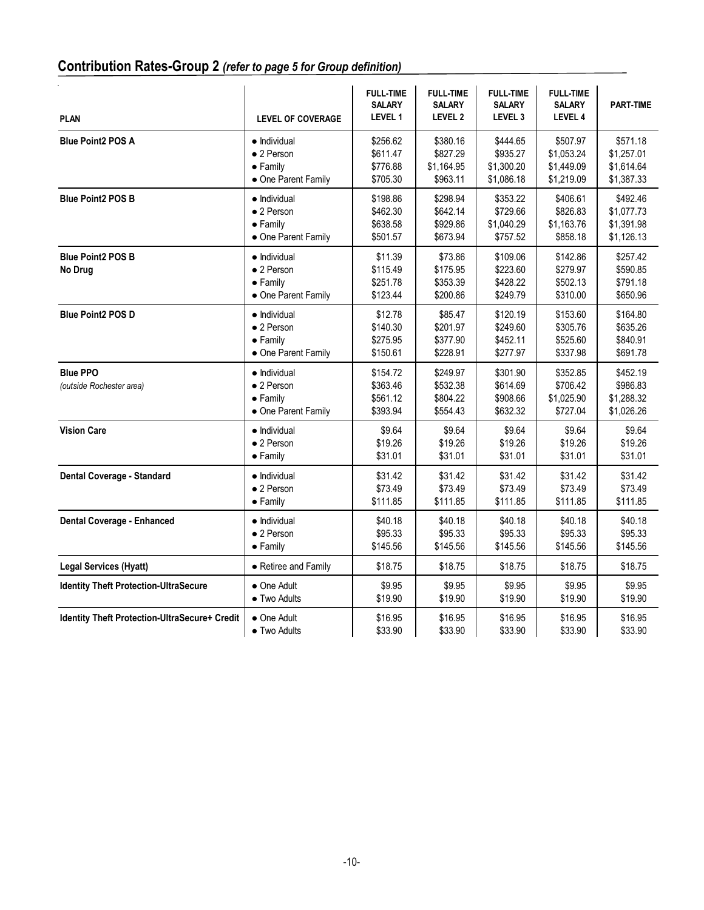| Contribution Rates-Group 2 (refer to page 5 for Group definition) |  |  |  |  |
|-------------------------------------------------------------------|--|--|--|--|
|-------------------------------------------------------------------|--|--|--|--|

| <b>PLAN</b>                                   | <b>LEVEL OF COVERAGE</b>                                                      | <b>FULL-TIME</b><br><b>SALARY</b><br><b>LEVEL 1</b> | <b>FULL-TIME</b><br><b>SALARY</b><br>LEVEL <sub>2</sub> | <b>FULL-TIME</b><br><b>SALARY</b><br>LEVEL <sub>3</sub> | <b>FULL-TIME</b><br><b>SALARY</b><br><b>LEVEL 4</b> | <b>PART-TIME</b>                                 |
|-----------------------------------------------|-------------------------------------------------------------------------------|-----------------------------------------------------|---------------------------------------------------------|---------------------------------------------------------|-----------------------------------------------------|--------------------------------------------------|
| <b>Blue Point2 POS A</b>                      | • Individual                                                                  | \$256.62                                            | \$380.16                                                | \$444.65                                                | \$507.97                                            | \$571.18                                         |
|                                               | $\bullet$ 2 Person                                                            | \$611.47                                            | \$827.29                                                | \$935.27                                                | \$1,053.24                                          | \$1,257.01                                       |
|                                               | $\bullet$ Family                                                              | \$776.88                                            | \$1,164.95                                              | \$1,300.20                                              | \$1,449.09                                          | \$1,614.64                                       |
|                                               | • One Parent Family                                                           | \$705.30                                            | \$963.11                                                | \$1,086.18                                              | \$1,219.09                                          | \$1,387.33                                       |
| <b>Blue Point2 POS B</b>                      | • Individual                                                                  | \$198.86                                            | \$298.94                                                | \$353.22                                                | \$406.61                                            | \$492.46                                         |
|                                               | $\bullet$ 2 Person                                                            | \$462.30                                            | \$642.14                                                | \$729.66                                                | \$826.83                                            | \$1,077.73                                       |
|                                               | $\bullet$ Family                                                              | \$638.58                                            | \$929.86                                                | \$1,040.29                                              | \$1,163.76                                          | \$1,391.98                                       |
|                                               | • One Parent Family                                                           | \$501.57                                            | \$673.94                                                | \$757.52                                                | \$858.18                                            | \$1,126.13                                       |
| <b>Blue Point2 POS B</b><br>No Drug           | • Individual<br>$\bullet$ 2 Person<br>$\bullet$ Family<br>• One Parent Family | \$11.39<br>\$115.49<br>\$251.78<br>\$123.44         | \$73.86<br>\$175.95<br>\$353.39<br>\$200.86             | \$109.06<br>\$223.60<br>\$428.22<br>\$249.79            | \$142.86<br>\$279.97<br>\$502.13<br>\$310.00        | \$257.42<br>\$590.85<br>\$791.18<br>\$650.96     |
| <b>Blue Point2 POS D</b>                      | $\bullet$ Individual                                                          | \$12.78                                             | \$85.47                                                 | \$120.19                                                | \$153.60                                            | \$164.80                                         |
|                                               | • 2 Person                                                                    | \$140.30                                            | \$201.97                                                | \$249.60                                                | \$305.76                                            | \$635.26                                         |
|                                               | $\bullet$ Family                                                              | \$275.95                                            | \$377.90                                                | \$452.11                                                | \$525.60                                            | \$840.91                                         |
|                                               | • One Parent Family                                                           | \$150.61                                            | \$228.91                                                | \$277.97                                                | \$337.98                                            | \$691.78                                         |
| <b>Blue PPO</b><br>(outside Rochester area)   | $\bullet$ Individual<br>• 2 Person<br>$\bullet$ Family<br>• One Parent Family | \$154.72<br>\$363.46<br>\$561.12<br>\$393.94        | \$249.97<br>\$532.38<br>\$804.22<br>\$554.43            | \$301.90<br>\$614.69<br>\$908.66<br>\$632.32            | \$352.85<br>\$706.42<br>\$1,025.90<br>\$727.04      | \$452.19<br>\$986.83<br>\$1,288.32<br>\$1,026.26 |
| <b>Vision Care</b>                            | • Individual                                                                  | \$9.64                                              | \$9.64                                                  | \$9.64                                                  | \$9.64                                              | \$9.64                                           |
|                                               | • 2 Person                                                                    | \$19.26                                             | \$19.26                                                 | \$19.26                                                 | \$19.26                                             | \$19.26                                          |
|                                               | $\bullet$ Family                                                              | \$31.01                                             | \$31.01                                                 | \$31.01                                                 | \$31.01                                             | \$31.01                                          |
| Dental Coverage - Standard                    | • Individual                                                                  | \$31.42                                             | \$31.42                                                 | \$31.42                                                 | \$31.42                                             | \$31.42                                          |
|                                               | • 2 Person                                                                    | \$73.49                                             | \$73.49                                                 | \$73.49                                                 | \$73.49                                             | \$73.49                                          |
|                                               | $\bullet$ Family                                                              | \$111.85                                            | \$111.85                                                | \$111.85                                                | \$111.85                                            | \$111.85                                         |
| Dental Coverage - Enhanced                    | $\bullet$ Individual                                                          | \$40.18                                             | \$40.18                                                 | \$40.18                                                 | \$40.18                                             | \$40.18                                          |
|                                               | • 2 Person                                                                    | \$95.33                                             | \$95.33                                                 | \$95.33                                                 | \$95.33                                             | \$95.33                                          |
|                                               | $\bullet$ Family                                                              | \$145.56                                            | \$145.56                                                | \$145.56                                                | \$145.56                                            | \$145.56                                         |
| <b>Legal Services (Hyatt)</b>                 | • Retiree and Family                                                          | \$18.75                                             | \$18.75                                                 | \$18.75                                                 | \$18.75                                             | \$18.75                                          |
| <b>Identity Theft Protection-UltraSecure</b>  | • One Adult                                                                   | \$9.95                                              | \$9.95                                                  | \$9.95                                                  | \$9.95                                              | \$9.95                                           |
|                                               | • Two Adults                                                                  | \$19.90                                             | \$19.90                                                 | \$19.90                                                 | \$19.90                                             | \$19.90                                          |
| Identity Theft Protection-UltraSecure+ Credit | • One Adult                                                                   | \$16.95                                             | \$16.95                                                 | \$16.95                                                 | \$16.95                                             | \$16.95                                          |
|                                               | • Two Adults                                                                  | \$33.90                                             | \$33.90                                                 | \$33.90                                                 | \$33.90                                             | \$33.90                                          |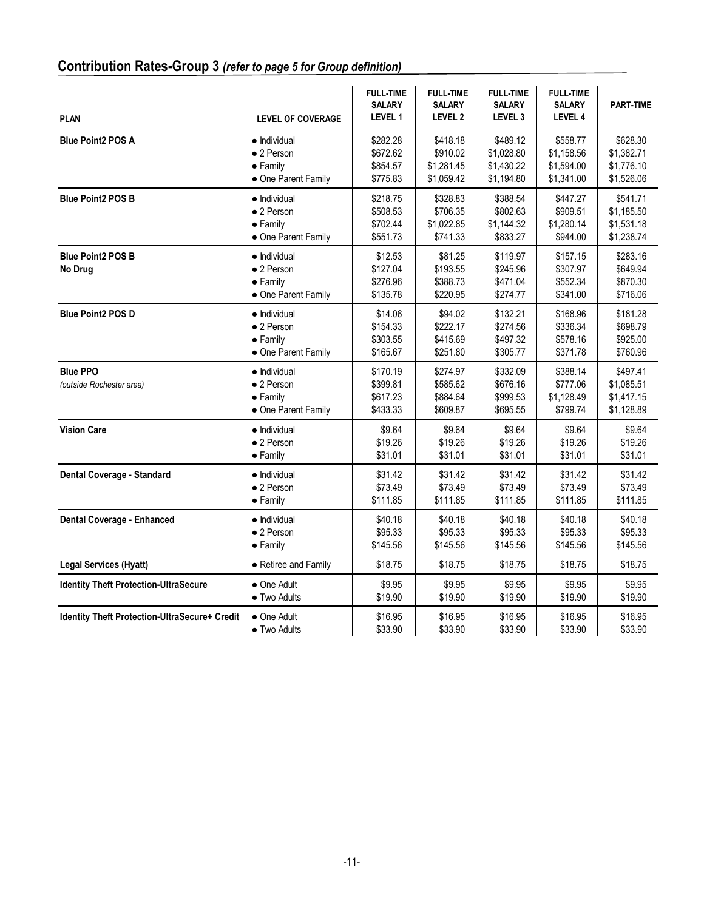| Contribution Rates-Group 3 (refer to page 5 for Group definition) |  |  |
|-------------------------------------------------------------------|--|--|
|-------------------------------------------------------------------|--|--|

| <b>PLAN</b>                                   | <b>LEVEL OF COVERAGE</b>                                                              | <b>FULL-TIME</b><br><b>SALARY</b><br>LEVEL 1 | <b>FULL-TIME</b><br><b>SALARY</b><br><b>LEVEL 2</b> | <b>FULL-TIME</b><br><b>SALARY</b><br>LEVEL <sub>3</sub> | <b>FULL-TIME</b><br><b>SALARY</b><br><b>LEVEL 4</b> | <b>PART-TIME</b>                                   |
|-----------------------------------------------|---------------------------------------------------------------------------------------|----------------------------------------------|-----------------------------------------------------|---------------------------------------------------------|-----------------------------------------------------|----------------------------------------------------|
| <b>Blue Point2 POS A</b>                      | · Individual                                                                          | \$282.28                                     | \$418.18                                            | \$489.12                                                | \$558.77                                            | \$628.30                                           |
|                                               | $\bullet$ 2 Person                                                                    | \$672.62                                     | \$910.02                                            | \$1,028.80                                              | \$1,158.56                                          | \$1,382.71                                         |
|                                               | $\bullet$ Family                                                                      | \$854.57                                     | \$1,281.45                                          | \$1,430.22                                              | \$1,594.00                                          | \$1,776.10                                         |
|                                               | • One Parent Family                                                                   | \$775.83                                     | \$1,059.42                                          | \$1,194.80                                              | \$1,341.00                                          | \$1,526.06                                         |
| <b>Blue Point2 POS B</b>                      | • Individual                                                                          | \$218.75                                     | \$328.83                                            | \$388.54                                                | \$447.27                                            | \$541.71                                           |
|                                               | $\bullet$ 2 Person                                                                    | \$508.53                                     | \$706.35                                            | \$802.63                                                | \$909.51                                            | \$1,185.50                                         |
|                                               | $\bullet$ Family                                                                      | \$702.44                                     | \$1,022.85                                          | \$1,144.32                                              | \$1,280.14                                          | \$1,531.18                                         |
|                                               | • One Parent Family                                                                   | \$551.73                                     | \$741.33                                            | \$833.27                                                | \$944.00                                            | \$1,238.74                                         |
| <b>Blue Point2 POS B</b><br>No Drug           | $\bullet$ Individual<br>$\bullet$ 2 Person<br>$\bullet$ Family<br>• One Parent Family | \$12.53<br>\$127.04<br>\$276.96<br>\$135.78  | \$81.25<br>\$193.55<br>\$388.73<br>\$220.95         | \$119.97<br>\$245.96<br>\$471.04<br>\$274.77            | \$157.15<br>\$307.97<br>\$552.34<br>\$341.00        | \$283.16<br>\$649.94<br>\$870.30<br>\$716.06       |
| <b>Blue Point2 POS D</b>                      | $\bullet$ Individual                                                                  | \$14.06                                      | \$94.02                                             | \$132.21                                                | \$168.96                                            | \$181.28                                           |
|                                               | $\bullet$ 2 Person                                                                    | \$154.33                                     | \$222.17                                            | \$274.56                                                | \$336.34                                            | \$698.79                                           |
|                                               | $\bullet$ Family                                                                      | \$303.55                                     | \$415.69                                            | \$497.32                                                | \$578.16                                            | \$925.00                                           |
|                                               | • One Parent Family                                                                   | \$165.67                                     | \$251.80                                            | \$305.77                                                | \$371.78                                            | \$760.96                                           |
| <b>Blue PPO</b><br>(outside Rochester area)   | $\bullet$ Individual<br>• 2 Person<br>$\bullet$ Family<br>• One Parent Family         | \$170.19<br>\$399.81<br>\$617.23<br>\$433.33 | \$274.97<br>\$585.62<br>\$884.64<br>\$609.87        | \$332.09<br>\$676.16<br>\$999.53<br>\$695.55            | \$388.14<br>\$777.06<br>\$1,128.49<br>\$799.74      | \$497.41<br>\$1,085.51<br>\$1,417.15<br>\$1,128.89 |
| <b>Vision Care</b>                            | • Individual                                                                          | \$9.64                                       | \$9.64                                              | \$9.64                                                  | \$9.64                                              | \$9.64                                             |
|                                               | • 2 Person                                                                            | \$19.26                                      | \$19.26                                             | \$19.26                                                 | \$19.26                                             | \$19.26                                            |
|                                               | $\bullet$ Family                                                                      | \$31.01                                      | \$31.01                                             | \$31.01                                                 | \$31.01                                             | \$31.01                                            |
| Dental Coverage - Standard                    | · Individual                                                                          | \$31.42                                      | \$31.42                                             | \$31.42                                                 | \$31.42                                             | \$31.42                                            |
|                                               | • 2 Person                                                                            | \$73.49                                      | \$73.49                                             | \$73.49                                                 | \$73.49                                             | \$73.49                                            |
|                                               | $\bullet$ Family                                                                      | \$111.85                                     | \$111.85                                            | \$111.85                                                | \$111.85                                            | \$111.85                                           |
| Dental Coverage - Enhanced                    | • Individual                                                                          | \$40.18                                      | \$40.18                                             | \$40.18                                                 | \$40.18                                             | \$40.18                                            |
|                                               | • 2 Person                                                                            | \$95.33                                      | \$95.33                                             | \$95.33                                                 | \$95.33                                             | \$95.33                                            |
|                                               | $\bullet$ Family                                                                      | \$145.56                                     | \$145.56                                            | \$145.56                                                | \$145.56                                            | \$145.56                                           |
| <b>Legal Services (Hyatt)</b>                 | • Retiree and Family                                                                  | \$18.75                                      | \$18.75                                             | \$18.75                                                 | \$18.75                                             | \$18.75                                            |
| <b>Identity Theft Protection-UltraSecure</b>  | • One Adult                                                                           | \$9.95                                       | \$9.95                                              | \$9.95                                                  | \$9.95                                              | \$9.95                                             |
|                                               | • Two Adults                                                                          | \$19.90                                      | \$19.90                                             | \$19.90                                                 | \$19.90                                             | \$19.90                                            |
| Identity Theft Protection-UltraSecure+ Credit | • One Adult                                                                           | \$16.95                                      | \$16.95                                             | \$16.95                                                 | \$16.95                                             | \$16.95                                            |
|                                               | • Two Adults                                                                          | \$33.90                                      | \$33.90                                             | \$33.90                                                 | \$33.90                                             | \$33.90                                            |